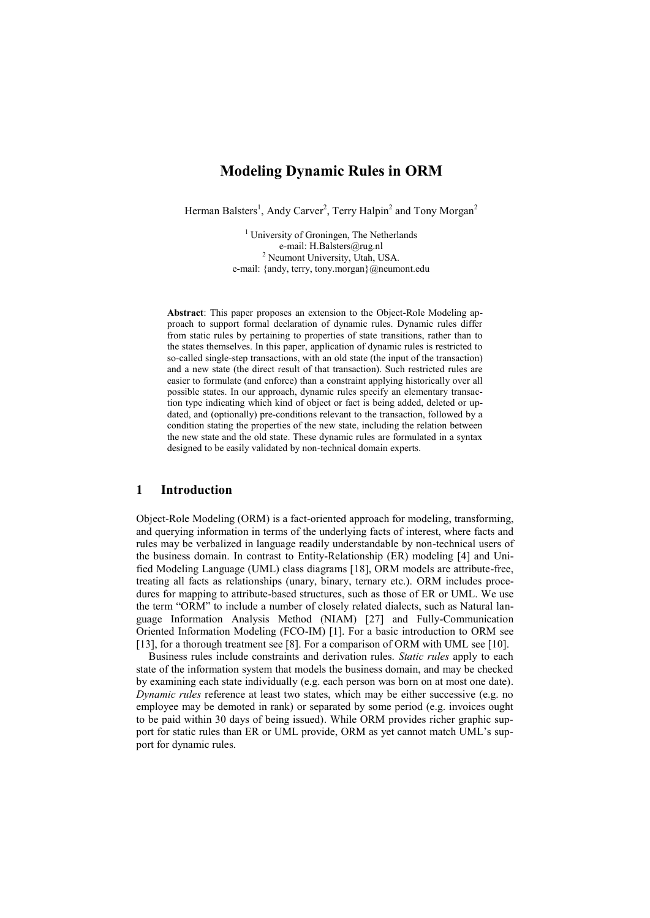# **Modeling Dynamic Rules in ORM**

Herman Balsters<sup>1</sup>, Andy Carver<sup>2</sup>, Terry Halpin<sup>2</sup> and Tony Morgan<sup>2</sup>

 $<sup>1</sup>$  University of Groningen, The Netherlands</sup> e-mail: H.Balsters@rug.nl <sup>2</sup> Neumont University, Utah, USA. e-mail: {andy, terry, tony.morgan}@neumont.edu

**Abstract**: This paper proposes an extension to the Object-Role Modeling approach to support formal declaration of dynamic rules. Dynamic rules differ from static rules by pertaining to properties of state transitions, rather than to the states themselves. In this paper, application of dynamic rules is restricted to so-called single-step transactions, with an old state (the input of the transaction) and a new state (the direct result of that transaction). Such restricted rules are easier to formulate (and enforce) than a constraint applying historically over all possible states. In our approach, dynamic rules specify an elementary transaction type indicating which kind of object or fact is being added, deleted or updated, and (optionally) pre-conditions relevant to the transaction, followed by a condition stating the properties of the new state, including the relation between the new state and the old state. These dynamic rules are formulated in a syntax designed to be easily validated by non-technical domain experts.

# **1 Introduction**

Object-Role Modeling (ORM) is a fact-oriented approach for modeling, transforming, and querying information in terms of the underlying facts of interest, where facts and rules may be verbalized in language readily understandable by non-technical users of the business domain. In contrast to Entity-Relationship (ER) modeling [\[4\]](#page-8-0) and Unified Modeling Language (UML) class diagrams [\[18\]](#page-9-0), ORM models are attribute-free, treating all facts as relationships (unary, binary, ternary etc.). ORM includes procedures for mapping to attribute-based structures, such as those of ER or UML. We use the term "ORM" to include a number of closely related dialects, such as Natural language Information Analysis Method (NIAM) [\[27\]](#page-9-1) and Fully-Communication Oriented Information Modeling (FCO-IM) [\[1\]](#page-8-1). For a basic introduction to ORM see [\[13\]](#page-9-2), for a thorough treatment see [\[8\]](#page-9-3). For a comparison of ORM with UML see [\[10\]](#page-9-4).

Business rules include constraints and derivation rules. *Static rules* apply to each state of the information system that models the business domain, and may be checked by examining each state individually (e.g. each person was born on at most one date). *Dynamic rules* reference at least two states, which may be either successive (e.g. no employee may be demoted in rank) or separated by some period (e.g. invoices ought to be paid within 30 days of being issued). While ORM provides richer graphic support for static rules than ER or UML provide, ORM as yet cannot match UML's support for dynamic rules.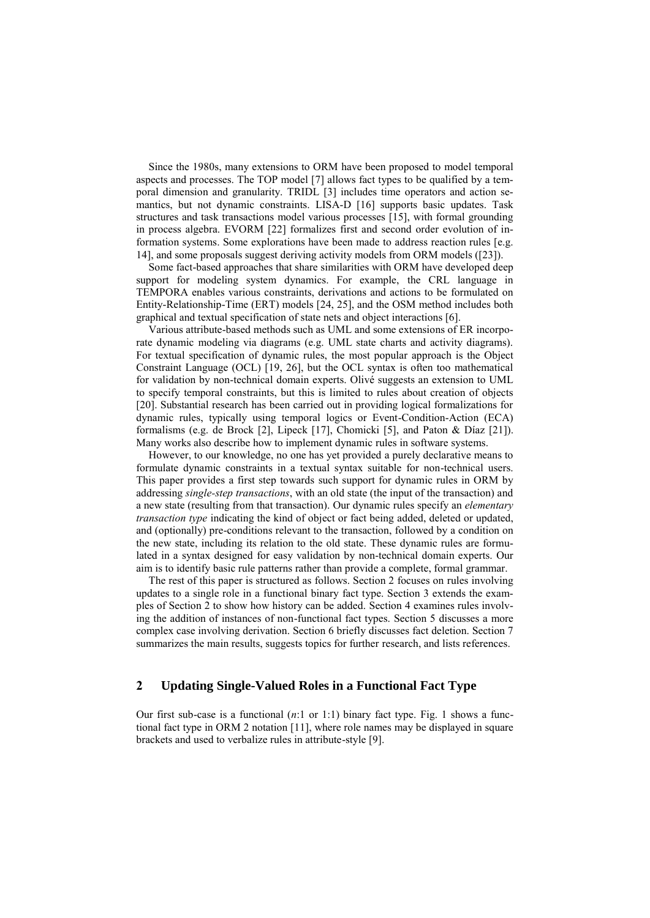Since the 1980s, many extensions to ORM have been proposed to model temporal aspects and processes. The TOP model [\[7\]](#page-8-2) allows fact types to be qualified by a temporal dimension and granularity. TRIDL [\[3\]](#page-8-3) includes time operators and action semantics, but not dynamic constraints. LISA-D [\[16\]](#page-9-5) supports basic updates. Task structures and task transactions model various processes [\[15\]](#page-9-6), with formal grounding in process algebra. EVORM [\[22\]](#page-9-7) formalizes first and second order evolution of information systems. Some explorations have been made to address reaction rules [e.g. [14\]](#page-9-8), and some proposals suggest deriving activity models from ORM models ([\[23\]](#page-9-9)).

Some fact-based approaches that share similarities with ORM have developed deep support for modeling system dynamics. For example, the CRL language in TEMPORA enables various constraints, derivations and actions to be formulated on Entity-Relationship-Time (ERT) models [\[24,](#page-9-10) [25\]](#page-9-11), and the OSM method includes both graphical and textual specification of state nets and object interactions [\[6\]](#page-8-4).

Various attribute-based methods such as UML and some extensions of ER incorporate dynamic modeling via diagrams (e.g. UML state charts and activity diagrams). For textual specification of dynamic rules, the most popular approach is the Object Constraint Language (OCL) [\[19,](#page-9-12) [26\]](#page-9-13), but the OCL syntax is often too mathematical for validation by non-technical domain experts. Olivé suggests an extension to UML to specify temporal constraints, but this is limited to rules about creation of objects [\[20\]](#page-9-14). Substantial research has been carried out in providing logical formalizations for dynamic rules, typically using temporal logics or Event-Condition-Action (ECA) formalisms (e.g. de Brock [\[2\]](#page-8-5), Lipeck [\[17\]](#page-9-15), Chomicki [\[5\]](#page-8-6), and Paton & Díaz [\[21\]](#page-9-16)). Many works also describe how to implement dynamic rules in software systems.

However, to our knowledge, no one has yet provided a purely declarative means to formulate dynamic constraints in a textual syntax suitable for non-technical users. This paper provides a first step towards such support for dynamic rules in ORM by addressing *single-step transactions*, with an old state (the input of the transaction) and a new state (resulting from that transaction). Our dynamic rules specify an *elementary transaction type* indicating the kind of object or fact being added, deleted or updated, and (optionally) pre-conditions relevant to the transaction, followed by a condition on the new state, including its relation to the old state. These dynamic rules are formulated in a syntax designed for easy validation by non-technical domain experts. Our aim is to identify basic rule patterns rather than provide a complete, formal grammar.

The rest of this paper is structured as follows. Section 2 focuses on rules involving updates to a single role in a functional binary fact type. Section 3 extends the examples of Section 2 to show how history can be added. Section 4 examines rules involving the addition of instances of non-functional fact types. Section 5 discusses a more complex case involving derivation. Section 6 briefly discusses fact deletion. Section 7 summarizes the main results, suggests topics for further research, and lists references.

### **2 Updating Single-Valued Roles in a Functional Fact Type**

Our first sub-case is a functional (*n*:1 or 1:1) binary fact type. Fig. 1 shows a functional fact type in ORM 2 notation [11], where role names may be displayed in square brackets and used to verbalize rules in attribute-style [9].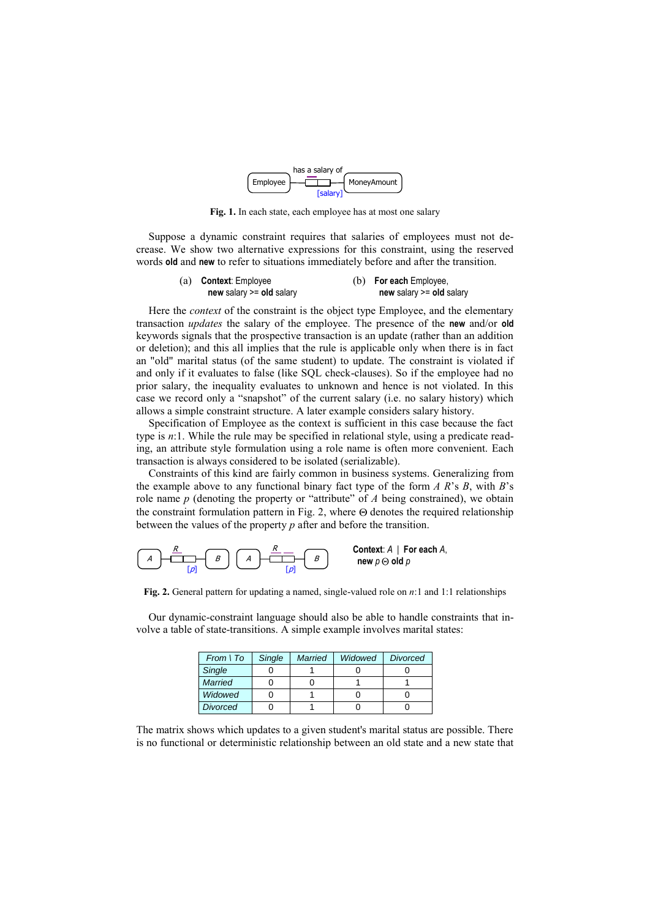

**Fig. 1.** In each state, each employee has at most one salary

Suppose a dynamic constraint requires that salaries of employees must not decrease. We show two alternative expressions for this constraint, using the reserved words **old** and **new** to refer to situations immediately before and after the transition.

| (a) <b>Context</b> : Employee | (b) For each Employee,     |
|-------------------------------|----------------------------|
| new salary $>=$ old salary    | new salary $>=$ old salary |

Here the *context* of the constraint is the object type Employee, and the elementary transaction *updates* the salary of the employee. The presence of the **new** and/or **old** keywords signals that the prospective transaction is an update (rather than an addition or deletion); and this all implies that the rule is applicable only when there is in fact an "old" marital status (of the same student) to update. The constraint is violated if and only if it evaluates to false (like SQL check-clauses). So if the employee had no prior salary, the inequality evaluates to unknown and hence is not violated. In this case we record only a "snapshot" of the current salary (i.e. no salary history) which allows a simple constraint structure. A later example considers salary history.

Specification of Employee as the context is sufficient in this case because the fact type is *n*:1. While the rule may be specified in relational style, using a predicate reading, an attribute style formulation using a role name is often more convenient. Each transaction is always considered to be isolated (serializable).

Constraints of this kind are fairly common in business systems. Generalizing from the example above to any functional binary fact type of the form  $A \ R$ 's  $B$ , with  $B$ 's role name *p* (denoting the property or "attribute" of *A* being constrained), we obtain the constraint formulation pattern in Fig. 2, where  $\Theta$  denotes the required relationship between the values of the property *p* after and before the transition.



**Fig. 2.** General pattern for updating a named, single-valued role on *n*:1 and 1:1 relationships

Our dynamic-constraint language should also be able to handle constraints that involve a table of state-transitions. A simple example involves marital states:

| $From \setminus To$ | Single | Married | Widowed | Divorced |
|---------------------|--------|---------|---------|----------|
| Single              |        |         |         |          |
| Married             |        |         |         |          |
| Widowed             |        |         |         |          |
| <b>Divorced</b>     |        |         |         |          |

The matrix shows which updates to a given student's marital status are possible. There is no functional or deterministic relationship between an old state and a new state that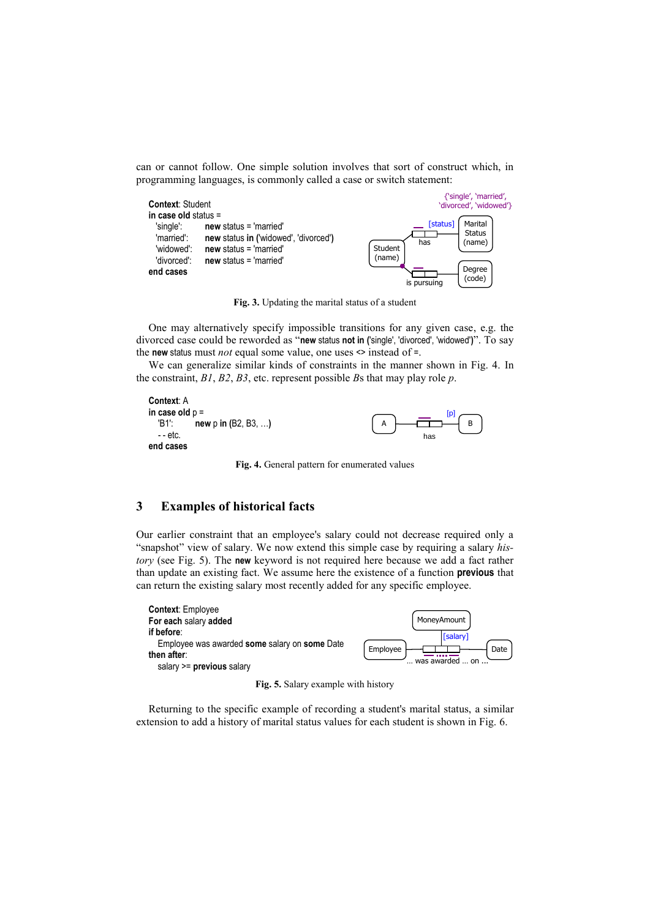can or cannot follow. One simple solution involves that sort of construct which, in programming languages, is commonly called a case or switch statement:



**Fig. 3.** Updating the marital status of a student

One may alternatively specify impossible transitions for any given case, e.g. the divorced case could be reworded as "**new** status **not in (**'single', 'divorced', 'widowed'**)**". To say the **new** status must *not* equal some value, one uses <> instead of =.

We can generalize similar kinds of constraints in the manner shown in Fig. 4. In the constraint, *B1*, *B2*, *B3*, etc. represent possible *B*s that may play role *p*.



**Fig. 4.** General pattern for enumerated values

#### **3 Examples of historical facts**

Our earlier constraint that an employee's salary could not decrease required only a "snapshot" view of salary. We now extend this simple case by requiring a salary *history* (see Fig. 5). The **new** keyword is not required here because we add a fact rather than update an existing fact. We assume here the existence of a function **previous** that can return the existing salary most recently added for any specific employee.



**Fig. 5.** Salary example with history

Returning to the specific example of recording a student's marital status, a similar extension to add a history of marital status values for each student is shown in Fig. 6.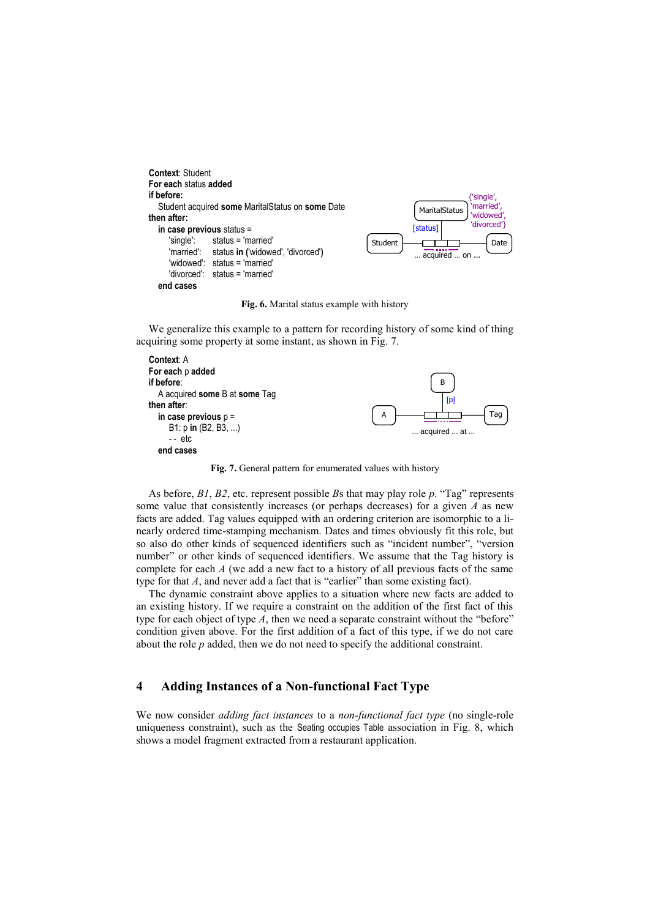```
Context: Student
For each status added
if before:
  Student acquired some MaritalStatus on some Date
then after:
  in case previous status =
     'single': status = 'married'
     'married': status in ('widowed', 'divorced')
     'widowed': status = 'married'
     'divorced': status = 'married'
   end cases
```


**Fig. 6.** Marital status example with history

We generalize this example to a pattern for recording history of some kind of thing acquiring some property at some instant, as shown in Fig. 7.



**Fig. 7.** General pattern for enumerated values with history

As before, *B1*, *B2*, etc. represent possible *B*s that may play role *p*. "Tag" represents some value that consistently increases (or perhaps decreases) for a given *A* as new facts are added. Tag values equipped with an ordering criterion are isomorphic to a linearly ordered time-stamping mechanism. Dates and times obviously fit this role, but so also do other kinds of sequenced identifiers such as "incident number", "version number" or other kinds of sequenced identifiers. We assume that the Tag history is complete for each *A* (we add a new fact to a history of all previous facts of the same type for that *A*, and never add a fact that is "earlier" than some existing fact).

The dynamic constraint above applies to a situation where new facts are added to an existing history. If we require a constraint on the addition of the first fact of this type for each object of type *A*, then we need a separate constraint without the "before" condition given above. For the first addition of a fact of this type, if we do not care about the role *p* added, then we do not need to specify the additional constraint.

### **4 Adding Instances of a Non-functional Fact Type**

We now consider *adding fact instances* to a *non-functional fact type* (no single-role uniqueness constraint), such as the Seating occupies Table association in Fig. 8, which shows a model fragment extracted from a restaurant application.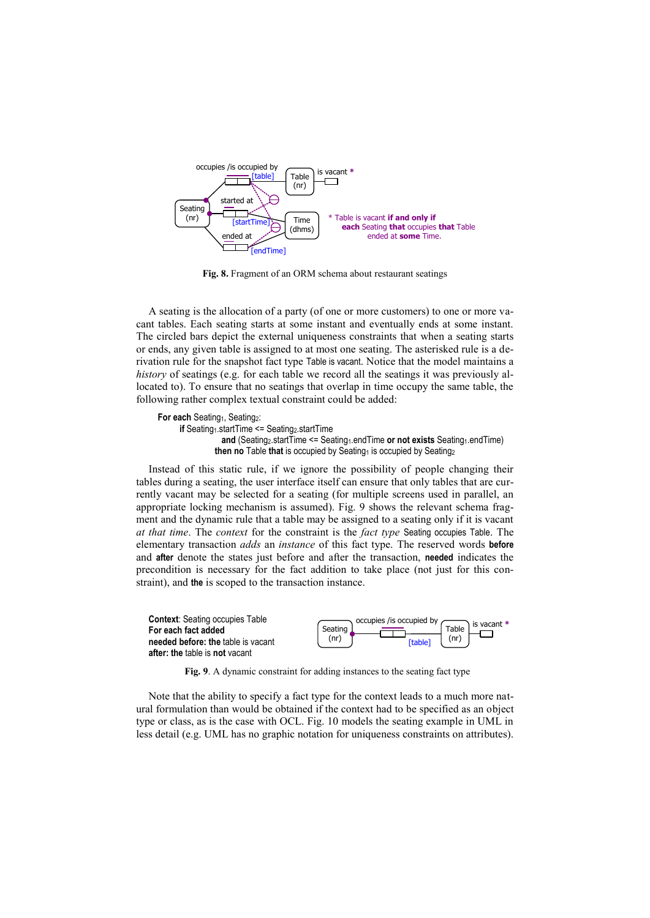

**Fig. 8.** Fragment of an ORM schema about restaurant seatings

A seating is the allocation of a party (of one or more customers) to one or more vacant tables. Each seating starts at some instant and eventually ends at some instant. The circled bars depict the external uniqueness constraints that when a seating starts or ends, any given table is assigned to at most one seating. The asterisked rule is a derivation rule for the snapshot fact type Table is vacant. Notice that the model maintains a *history* of seatings (e.g. for each table we record all the seatings it was previously allocated to). To ensure that no seatings that overlap in time occupy the same table, the following rather complex textual constraint could be added:

For each Seating<sub>1</sub>, Seating<sub>2</sub>: **if** Seating<sub>1</sub>.startTime <= Seating<sub>2</sub>.startTime **and** (Seating<sub>2</sub>.startTime <= Seating<sub>1</sub>.endTime or not exists Seating<sub>1</sub>.endTime) **then no** Table **that** is occupied by Seating<sub>1</sub> is occupied by Seating<sub>2</sub>

Instead of this static rule, if we ignore the possibility of people changing their tables during a seating, the user interface itself can ensure that only tables that are currently vacant may be selected for a seating (for multiple screens used in parallel, an appropriate locking mechanism is assumed). Fig. 9 shows the relevant schema fragment and the dynamic rule that a table may be assigned to a seating only if it is vacant *at that time*. The *context* for the constraint is the *fact type* Seating occupies Table. The elementary transaction *adds* an *instance* of this fact type. The reserved words **before** and **after** denote the states just before and after the transaction, **needed** indicates the precondition is necessary for the fact addition to take place (not just for this constraint), and **the** is scoped to the transaction instance.



**Fig. 9**. A dynamic constraint for adding instances to the seating fact type

Note that the ability to specify a fact type for the context leads to a much more natural formulation than would be obtained if the context had to be specified as an object type or class, as is the case with OCL. Fig. 10 models the seating example in UML in less detail (e.g. UML has no graphic notation for uniqueness constraints on attributes).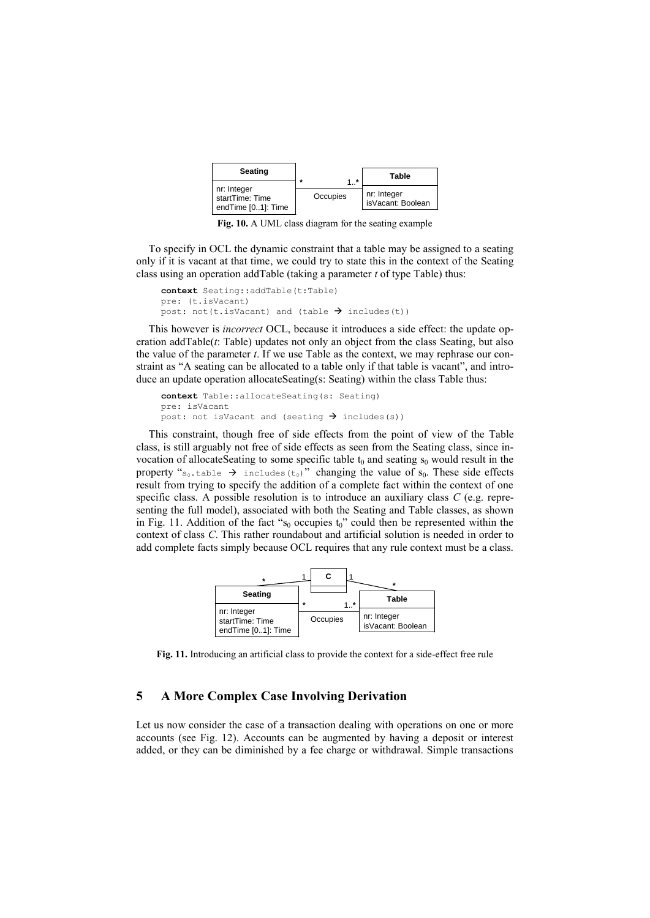| Seating                                              | $1.$ *   | Table                            |
|------------------------------------------------------|----------|----------------------------------|
| nr: Integer<br>startTime: Time<br>endTime [01]: Time | Occupies | nr: Integer<br>isVacant: Boolean |

**Fig. 10.** A UML class diagram for the seating example

To specify in OCL the dynamic constraint that a table may be assigned to a seating only if it is vacant at that time, we could try to state this in the context of the Seating class using an operation addTable (taking a parameter *t* of type Table) thus:

```
context Seating::addTable(t:Table)
pre: (t.isVacant) 
post: not(t.isVacant) and (table \rightarrow includes(t))
```
This however is *incorrect* OCL, because it introduces a side effect: the update operation addTable(*t*: Table) updates not only an object from the class Seating, but also the value of the parameter *t*. If we use Table as the context, we may rephrase our constraint as "A seating can be allocated to a table only if that table is vacant", and introduce an update operation allocateSeating(s: Seating) within the class Table thus:

```
context Table::allocateSeating(s: Seating)
pre: isVacant 
post: not isVacant and (seating \rightarrow includes(s))
```
This constraint, though free of side effects from the point of view of the Table class, is still arguably not free of side effects as seen from the Seating class, since invocation of allocateSeating to some specific table  $t_0$  and seating  $s_0$  would result in the property " $s_0$ .table  $\rightarrow$  includes(t<sub>0</sub>)" changing the value of  $s_0$ . These side effects result from trying to specify the addition of a complete fact within the context of one specific class. A possible resolution is to introduce an auxiliary class *C* (e.g. representing the full model), associated with both the Seating and Table classes, as shown in Fig. 11. Addition of the fact " $s_0$  occupies  $t_0$ " could then be represented within the context of class *C*. This rather roundabout and artificial solution is needed in order to add complete facts simply because OCL requires that any rule context must be a class.



**Fig. 11.** Introducing an artificial class to provide the context for a side-effect free rule

## **5 A More Complex Case Involving Derivation**

Let us now consider the case of a transaction dealing with operations on one or more accounts (see Fig. 12). Accounts can be augmented by having a deposit or interest added, or they can be diminished by a fee charge or withdrawal. Simple transactions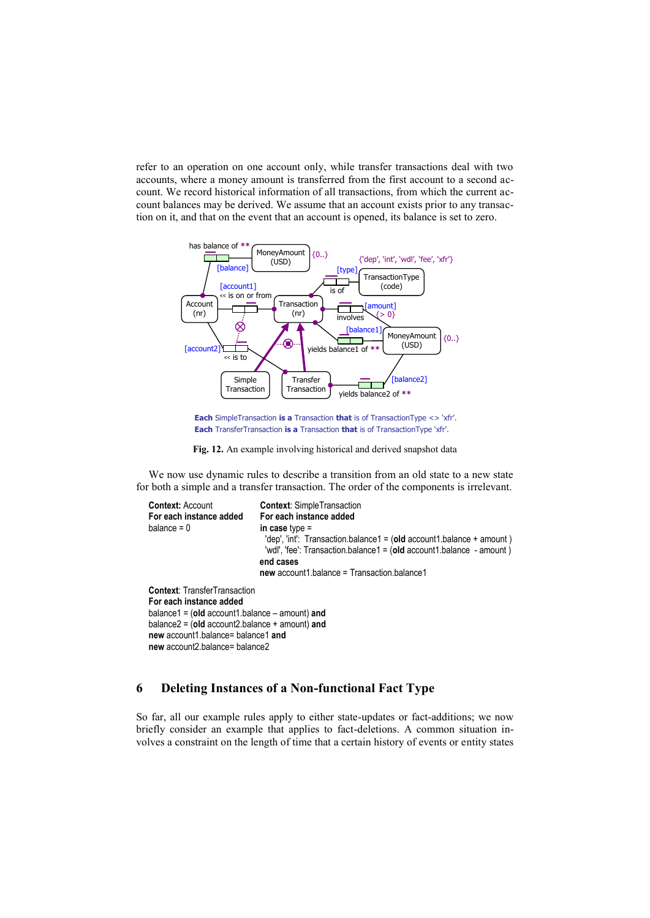refer to an operation on one account only, while transfer transactions deal with two accounts, where a money amount is transferred from the first account to a second account. We record historical information of all transactions, from which the current account balances may be derived. We assume that an account exists prior to any transaction on it, and that on the event that an account is opened, its balance is set to zero.



**Each** SimpleTransaction **is a** Transaction **that** is of TransactionType <> 'xfr'. **Each** TransferTransaction **is a** Transaction **that** is of TransactionType 'xfr'.

**Fig. 12.** An example involving historical and derived snapshot data

We now use dynamic rules to describe a transition from an old state to a new state for both a simple and a transfer transaction. The order of the components is irrelevant.

```
Context: Account Context: SimpleTransaction
For each instance added For each instance added
balance = 0 in case type =
                             'dep', 'int': Transaction.balance1 = (old account1.balance + amount )
                             'wdl', 'fee': Transaction.balance1 = (old account1.balance - amount )
                            end cases
                            new account1.balance = Transaction.balance1
Context: TransferTransaction
For each instance added
```
balance1 = (**old** account1.balance – amount) **and** balance2 = (**old** account2.balance + amount) **and new** account1.balance= balance1 **and new** account2.balance= balance2

## **6 Deleting Instances of a Non-functional Fact Type**

So far, all our example rules apply to either state-updates or fact-additions; we now briefly consider an example that applies to fact-deletions. A common situation involves a constraint on the length of time that a certain history of events or entity states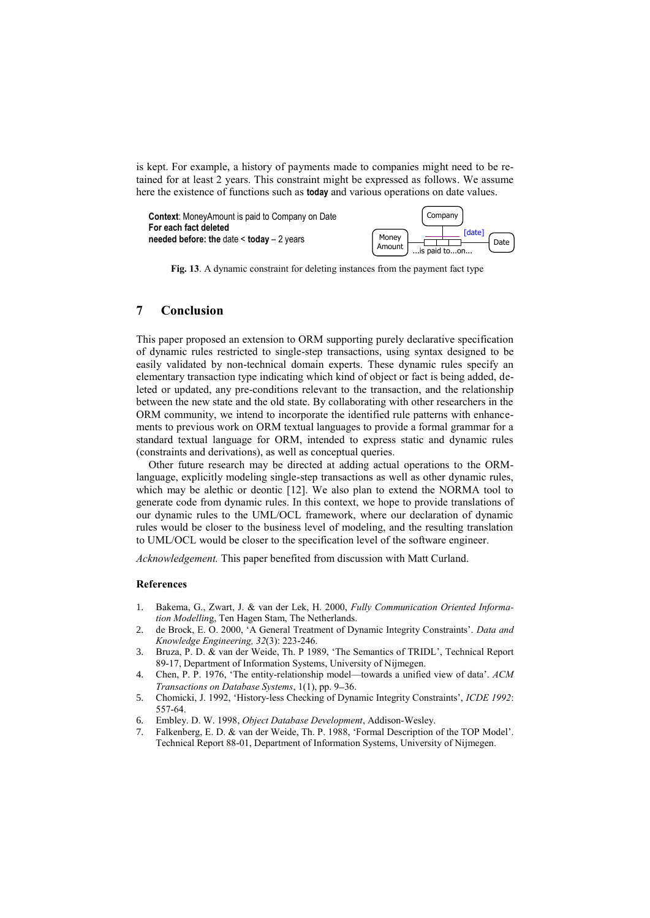is kept. For example, a history of payments made to companies might need to be retained for at least 2 years. This constraint might be expressed as follows. We assume here the existence of functions such as **today** and various operations on date values.



**Fig. 13**. A dynamic constraint for deleting instances from the payment fact type

#### **7 Conclusion**

This paper proposed an extension to ORM supporting purely declarative specification of dynamic rules restricted to single-step transactions, using syntax designed to be easily validated by non-technical domain experts. These dynamic rules specify an elementary transaction type indicating which kind of object or fact is being added, deleted or updated, any pre-conditions relevant to the transaction, and the relationship between the new state and the old state. By collaborating with other researchers in the ORM community, we intend to incorporate the identified rule patterns with enhancements to previous work on ORM textual languages to provide a formal grammar for a standard textual language for ORM, intended to express static and dynamic rules (constraints and derivations), as well as conceptual queries.

Other future research may be directed at adding actual operations to the ORMlanguage, explicitly modeling single-step transactions as well as other dynamic rules, which may be alethic or deontic [\[12\]](#page-9-17). We also plan to extend the NORMA tool to generate code from dynamic rules. In this context, we hope to provide translations of our dynamic rules to the UML/OCL framework, where our declaration of dynamic rules would be closer to the business level of modeling, and the resulting translation to UML/OCL would be closer to the specification level of the software engineer.

*Acknowledgement.* This paper benefited from discussion with Matt Curland.

#### **References**

- <span id="page-8-1"></span>1. Bakema, G., Zwart, J. & van der Lek, H. 2000, *Fully Communication Oriented Information Modellin*g, Ten Hagen Stam, The Netherlands.
- <span id="page-8-5"></span>2. de Brock, E. O. 2000, "A General Treatment of Dynamic Integrity Constraints". *[Data and](http://www.informatik.uni-trier.de/~ley/db/journals/dke/dke32.html#Brock00)  [Knowledge Engineering, 32](http://www.informatik.uni-trier.de/~ley/db/journals/dke/dke32.html#Brock00)*(3): 223-246.
- <span id="page-8-3"></span>3. Bruza, P. D. & [van der Weide,](http://www.niii.kun.nl/~tvdw) Th. P 1989, "The Semantics of TRIDL", Technical Report 89-17, Department of Information Systems, University of Nijmegen.
- <span id="page-8-0"></span>4. Chen, P. P. 1976, "The entity-relationship model—towards a unified view of data". *ACM Transactions on Database Systems*, 1(1), pp. 9-36.
- <span id="page-8-6"></span>5. Chomicki, J. 1992, "History-less Checking of Dynamic Integrity Constraints", *ICDE 1992*: 557-64.
- <span id="page-8-4"></span>6. Embley. D. W. 1998, *Object Database Development*, Addison-Wesley.
- <span id="page-8-2"></span>7. Falkenberg, E. D. [& van der Weide](http://www.niii.kun.nl/~tvdw), Th. P. 1988, "Formal Description of the TOP Model". Technical Report 88-01, Department of Information Systems, University of Nijmegen.